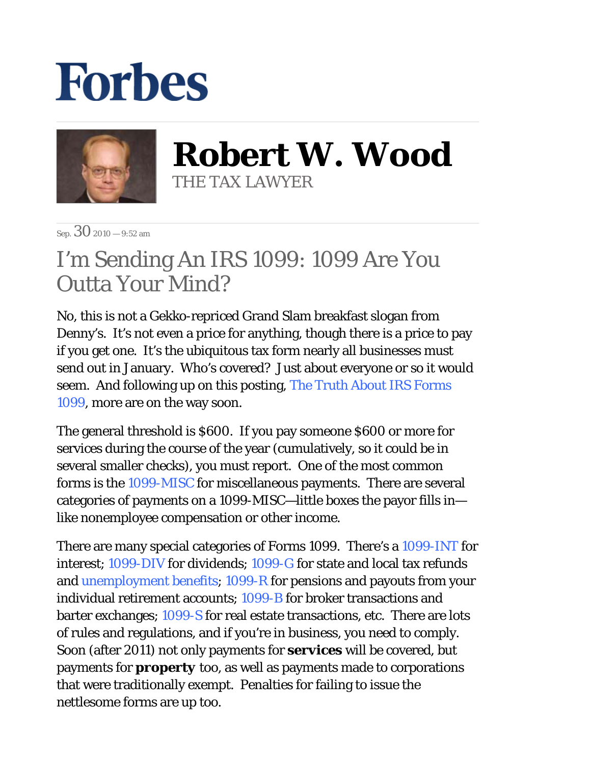## **Forbes**



**Robert W. Wood** THE TAX LAWYER

Sep.  $30_{2010 - 9:52 \text{ am}}$ 

## I'm Sending An IRS 1099: 1099 Are You Outta Your Mind?

No, this is not a Gekko-repriced Grand Slam breakfast slogan from Denny's. It's not even a price for anything, though there is a price to pay if you get one. It's the ubiquitous tax form nearly all businesses must send out in January. Who's covered? Just about everyone or so it would seem. And following up on this posting, The Truth About IRS Forms 1099, more are on the way soon.

The general threshold is \$600. If you pay someone \$600 or more for services during the course of the year (cumulatively, so it could be in several smaller checks), you must report. One of the most common forms is the 1099-MISC for miscellaneous payments. There are several categories of payments on a 1099-MISC—little boxes the payor fills in like nonemployee compensation or other income.

There are many special categories of Forms 1099. There's a 1099-INT for interest; 1099-DIV for dividends; 1099-G for state and local tax refunds and unemployment benefits; 1099-R for pensions and payouts from your individual retirement accounts; 1099-B for broker transactions and barter exchanges; 1099-S for real estate transactions, etc. There are lots of rules and regulations, and if you're in business, you need to comply. Soon (after 2011) not only payments for *services* will be covered, but payments for *property* too, as well as payments made to corporations that were traditionally exempt. Penalties for failing to issue the nettlesome forms are up too.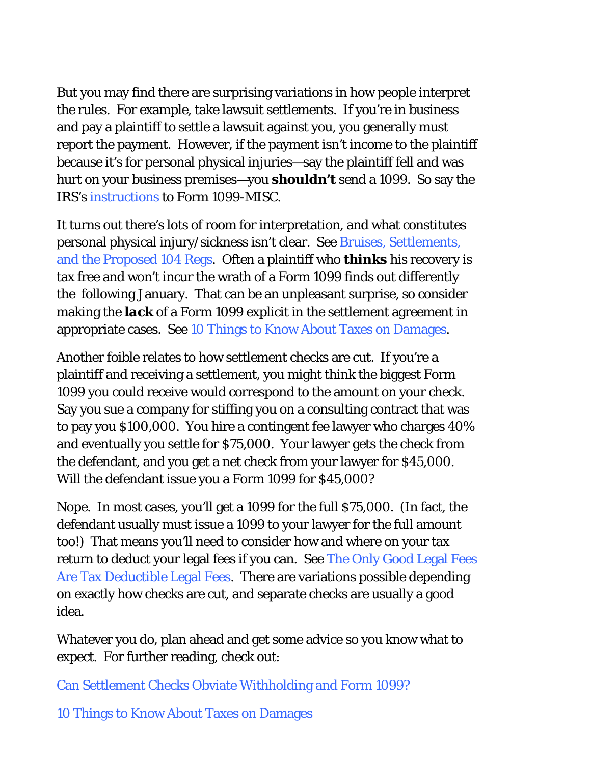But you may find there are surprising variations in how people interpret the rules. For example, take lawsuit settlements. If you're in business and pay a plaintiff to settle a lawsuit against you, you generally must report the payment. However, if the payment isn't income to the plaintiff because it's for personal physical injuries—say the plaintiff fell and was hurt on your business premises—you *shouldn't* send a 1099. So say the IRS's instructions to Form 1099-MISC.

It turns out there's lots of room for interpretation, and what constitutes personal physical injury/sickness isn't clear. See Bruises, Settlements, and the Proposed 104 Regs. Often a plaintiff who *thinks* his recovery is tax free and won't incur the wrath of a Form 1099 finds out differently the following January. That can be an unpleasant surprise, so consider making the *lack* of a Form 1099 explicit in the settlement agreement in appropriate cases. See 10 Things to Know About Taxes on Damages.

Another foible relates to how settlement checks are cut. If you're a plaintiff and receiving a settlement, you might think the biggest Form 1099 you could receive would correspond to the amount on your check. Say you sue a company for stiffing you on a consulting contract that was to pay you \$100,000. You hire a contingent fee lawyer who charges 40% and eventually you settle for \$75,000. Your lawyer gets the check from the defendant, and you get a net check from your lawyer for \$45,000. Will the defendant issue you a Form 1099 for \$45,000?

Nope. In most cases, you'll get a 1099 for the full \$75,000. (In fact, the defendant usually must issue a 1099 to your lawyer for the full amount too!) That means you'll need to consider how and where on your tax return to deduct your legal fees if you can. See The Only Good Legal Fees Are Tax Deductible Legal Fees. There are variations possible depending on exactly how checks are cut, and separate checks are usually a good idea.

Whatever you do, plan ahead and get some advice so you know what to expect. For further reading, check out:

Can Settlement Checks Obviate Withholding and Form 1099?

10 Things to Know About Taxes on Damages